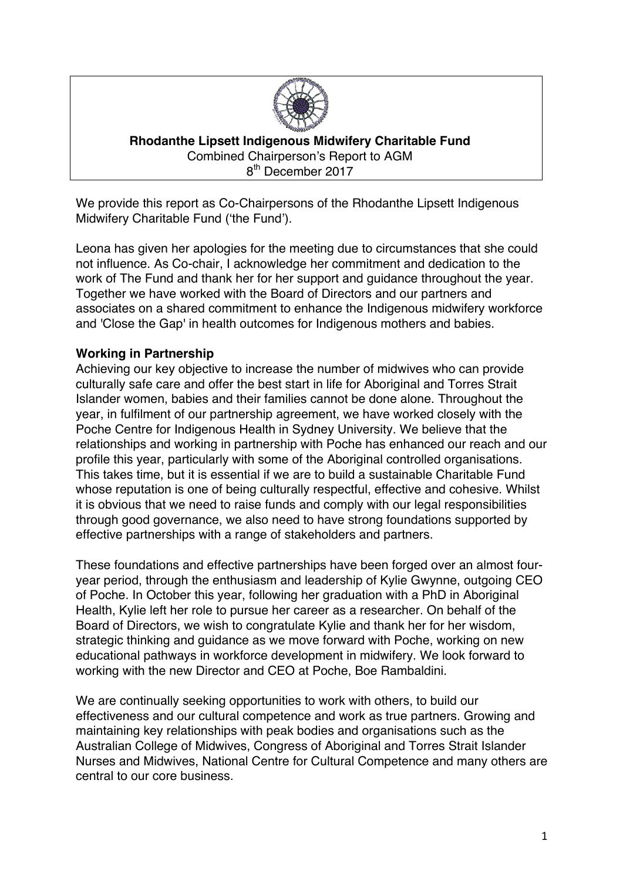

**Rhodanthe Lipsett Indigenous Midwifery Charitable Fund** Combined Chairperson's Report to AGM 8<sup>th</sup> December 2017

We provide this report as Co-Chairpersons of the Rhodanthe Lipsett Indigenous Midwifery Charitable Fund ('the Fund').

Leona has given her apologies for the meeting due to circumstances that she could not influence. As Co-chair, I acknowledge her commitment and dedication to the work of The Fund and thank her for her support and guidance throughout the year. Together we have worked with the Board of Directors and our partners and associates on a shared commitment to enhance the Indigenous midwifery workforce and 'Close the Gap' in health outcomes for Indigenous mothers and babies.

# **Working in Partnership**

Achieving our key objective to increase the number of midwives who can provide culturally safe care and offer the best start in life for Aboriginal and Torres Strait Islander women, babies and their families cannot be done alone. Throughout the year, in fulfilment of our partnership agreement, we have worked closely with the Poche Centre for Indigenous Health in Sydney University. We believe that the relationships and working in partnership with Poche has enhanced our reach and our profile this year, particularly with some of the Aboriginal controlled organisations. This takes time, but it is essential if we are to build a sustainable Charitable Fund whose reputation is one of being culturally respectful, effective and cohesive. Whilst it is obvious that we need to raise funds and comply with our legal responsibilities through good governance, we also need to have strong foundations supported by effective partnerships with a range of stakeholders and partners.

These foundations and effective partnerships have been forged over an almost fouryear period, through the enthusiasm and leadership of Kylie Gwynne, outgoing CEO of Poche. In October this year, following her graduation with a PhD in Aboriginal Health, Kylie left her role to pursue her career as a researcher. On behalf of the Board of Directors, we wish to congratulate Kylie and thank her for her wisdom, strategic thinking and guidance as we move forward with Poche, working on new educational pathways in workforce development in midwifery. We look forward to working with the new Director and CEO at Poche, Boe Rambaldini.

We are continually seeking opportunities to work with others, to build our effectiveness and our cultural competence and work as true partners. Growing and maintaining key relationships with peak bodies and organisations such as the Australian College of Midwives, Congress of Aboriginal and Torres Strait Islander Nurses and Midwives, National Centre for Cultural Competence and many others are central to our core business.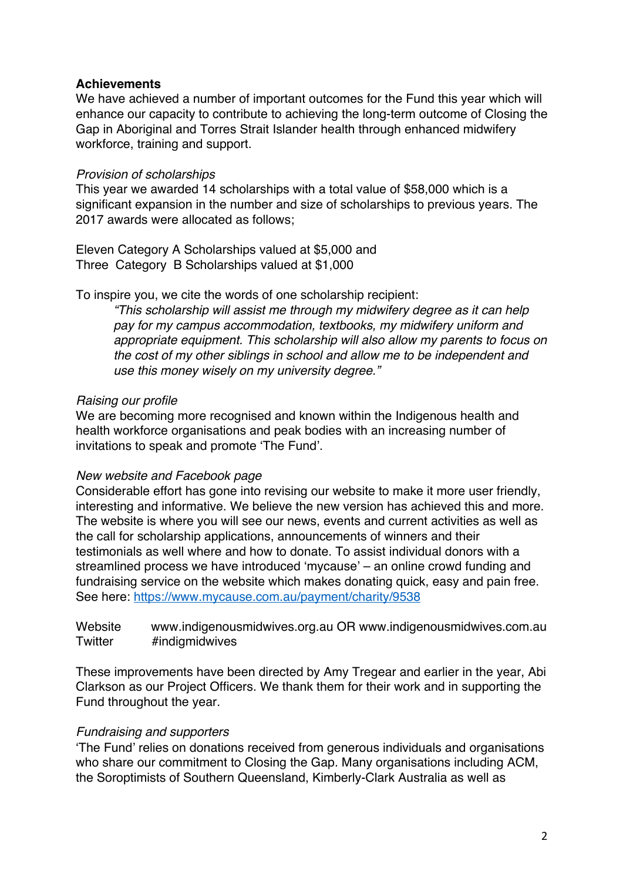## **Achievements**

We have achieved a number of important outcomes for the Fund this year which will enhance our capacity to contribute to achieving the long-term outcome of Closing the Gap in Aboriginal and Torres Strait Islander health through enhanced midwifery workforce, training and support.

## *Provision of scholarships*

This year we awarded 14 scholarships with a total value of \$58,000 which is a significant expansion in the number and size of scholarships to previous years. The 2017 awards were allocated as follows;

Eleven Category A Scholarships valued at \$5,000 and Three Category B Scholarships valued at \$1,000

## To inspire you, we cite the words of one scholarship recipient:

*"This scholarship will assist me through my midwifery degree as it can help pay for my campus accommodation, textbooks, my midwifery uniform and appropriate equipment. This scholarship will also allow my parents to focus on the cost of my other siblings in school and allow me to be independent and use this money wisely on my university degree."*

## *Raising our profile*

We are becoming more recognised and known within the Indigenous health and health workforce organisations and peak bodies with an increasing number of invitations to speak and promote 'The Fund'.

## *New website and Facebook page*

Considerable effort has gone into revising our website to make it more user friendly, interesting and informative. We believe the new version has achieved this and more. The website is where you will see our news, events and current activities as well as the call for scholarship applications, announcements of winners and their testimonials as well where and how to donate. To assist individual donors with a streamlined process we have introduced 'mycause' – an online crowd funding and fundraising service on the website which makes donating quick, easy and pain free. See here: https://www.mycause.com.au/payment/charity/9538

Website www.indigenousmidwives.org.au OR www.indigenousmidwives.com.au Twitter #indigmidwives

These improvements have been directed by Amy Tregear and earlier in the year, Abi Clarkson as our Project Officers. We thank them for their work and in supporting the Fund throughout the year.

## *Fundraising and supporters*

'The Fund' relies on donations received from generous individuals and organisations who share our commitment to Closing the Gap. Many organisations including ACM, the Soroptimists of Southern Queensland, Kimberly-Clark Australia as well as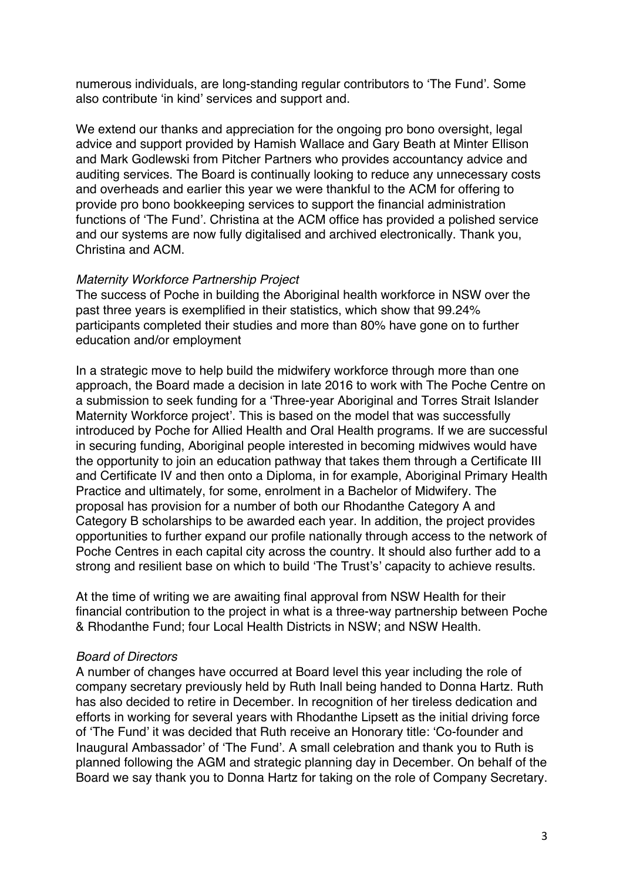numerous individuals, are long-standing regular contributors to 'The Fund'. Some also contribute 'in kind' services and support and.

We extend our thanks and appreciation for the ongoing pro bono oversight, legal advice and support provided by Hamish Wallace and Gary Beath at Minter Ellison and Mark Godlewski from Pitcher Partners who provides accountancy advice and auditing services. The Board is continually looking to reduce any unnecessary costs and overheads and earlier this year we were thankful to the ACM for offering to provide pro bono bookkeeping services to support the financial administration functions of 'The Fund'. Christina at the ACM office has provided a polished service and our systems are now fully digitalised and archived electronically. Thank you, Christina and ACM.

#### *Maternity Workforce Partnership Project*

The success of Poche in building the Aboriginal health workforce in NSW over the past three years is exemplified in their statistics, which show that 99.24% participants completed their studies and more than 80% have gone on to further education and/or employment

In a strategic move to help build the midwifery workforce through more than one approach, the Board made a decision in late 2016 to work with The Poche Centre on a submission to seek funding for a 'Three-year Aboriginal and Torres Strait Islander Maternity Workforce project'. This is based on the model that was successfully introduced by Poche for Allied Health and Oral Health programs. If we are successful in securing funding, Aboriginal people interested in becoming midwives would have the opportunity to join an education pathway that takes them through a Certificate III and Certificate IV and then onto a Diploma, in for example, Aboriginal Primary Health Practice and ultimately, for some, enrolment in a Bachelor of Midwifery. The proposal has provision for a number of both our Rhodanthe Category A and Category B scholarships to be awarded each year. In addition, the project provides opportunities to further expand our profile nationally through access to the network of Poche Centres in each capital city across the country. It should also further add to a strong and resilient base on which to build 'The Trust's' capacity to achieve results.

At the time of writing we are awaiting final approval from NSW Health for their financial contribution to the project in what is a three-way partnership between Poche & Rhodanthe Fund; four Local Health Districts in NSW; and NSW Health.

#### *Board of Directors*

A number of changes have occurred at Board level this year including the role of company secretary previously held by Ruth Inall being handed to Donna Hartz. Ruth has also decided to retire in December. In recognition of her tireless dedication and efforts in working for several years with Rhodanthe Lipsett as the initial driving force of 'The Fund' it was decided that Ruth receive an Honorary title: 'Co-founder and Inaugural Ambassador' of 'The Fund'. A small celebration and thank you to Ruth is planned following the AGM and strategic planning day in December. On behalf of the Board we say thank you to Donna Hartz for taking on the role of Company Secretary.